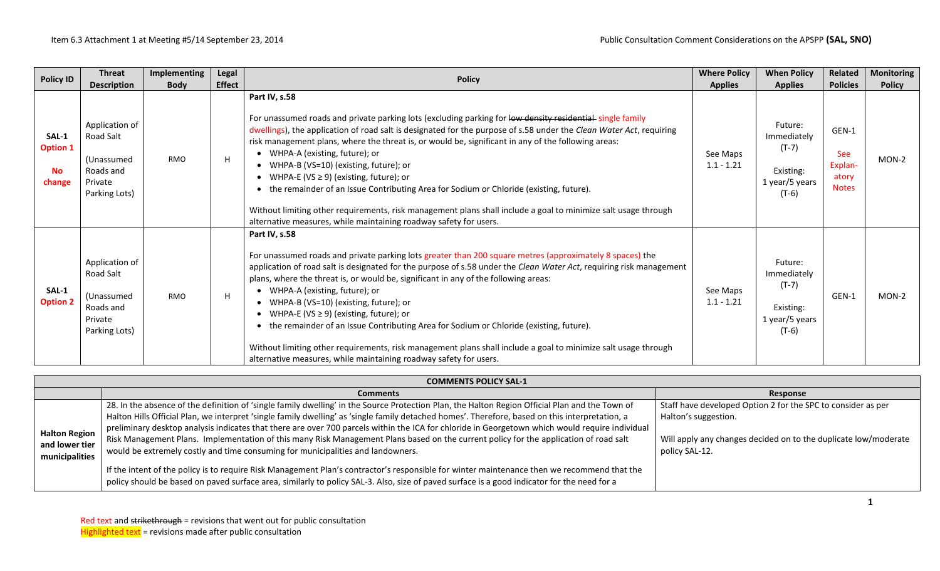| <b>Policy ID</b>                                | <b>Threat</b><br><b>Description</b>                                                | <b>Implementing</b><br><b>Body</b> | Legal<br><b>Effect</b> | <b>Policy</b>                                                                                                                                                                                                                                                                                                                                                                                                                                                                                                                                                                                                                                                                                                                                                              | <b>Where Policy</b><br><b>Applies</b> | <b>When Policy</b><br><b>Applies</b>                                        | Related<br><b>Policies</b>                              | <b>Monitoring</b><br><b>Policy</b> |
|-------------------------------------------------|------------------------------------------------------------------------------------|------------------------------------|------------------------|----------------------------------------------------------------------------------------------------------------------------------------------------------------------------------------------------------------------------------------------------------------------------------------------------------------------------------------------------------------------------------------------------------------------------------------------------------------------------------------------------------------------------------------------------------------------------------------------------------------------------------------------------------------------------------------------------------------------------------------------------------------------------|---------------------------------------|-----------------------------------------------------------------------------|---------------------------------------------------------|------------------------------------|
| SAL-1<br><b>Option 1</b><br><b>No</b><br>change | Application of<br>Road Salt<br>(Unassumed<br>Roads and<br>Private<br>Parking Lots) | <b>RMO</b>                         | H                      | Part IV, s.58<br>For unassumed roads and private parking lots (excluding parking for low density residential single family<br>dwellings), the application of road salt is designated for the purpose of s.58 under the Clean Water Act, requiring<br>risk management plans, where the threat is, or would be, significant in any of the following areas:<br>• WHPA-A (existing, future); or<br>• WHPA-B (VS=10) (existing, future); or<br>• WHPA-E (VS $\geq$ 9) (existing, future); or<br>• the remainder of an Issue Contributing Area for Sodium or Chloride (existing, future).<br>Without limiting other requirements, risk management plans shall include a goal to minimize salt usage through<br>alternative measures, while maintaining roadway safety for users. | See Maps<br>$1.1 - 1.21$              | Future:<br>Immediately<br>$(T-7)$<br>Existing:<br>1 year/5 years<br>$(T-6)$ | GEN-1<br><b>See</b><br>Explan-<br>atory<br><b>Notes</b> | MON-2                              |
| SAL-1<br><b>Option 2</b>                        | Application of<br>Road Salt<br>(Unassumed<br>Roads and<br>Private<br>Parking Lots) | <b>RMO</b>                         | H                      | Part IV, s.58<br>For unassumed roads and private parking lots greater than 200 square metres (approximately 8 spaces) the<br>application of road salt is designated for the purpose of s.58 under the Clean Water Act, requiring risk management<br>plans, where the threat is, or would be, significant in any of the following areas:<br>• WHPA-A (existing, future); or<br>• WHPA-B (VS=10) (existing, future); or<br>• WHPA-E (VS $\geq$ 9) (existing, future); or<br>• the remainder of an Issue Contributing Area for Sodium or Chloride (existing, future).<br>Without limiting other requirements, risk management plans shall include a goal to minimize salt usage through<br>alternative measures, while maintaining roadway safety for users.                  | See Maps<br>$1.1 - 1.21$              | Future:<br>Immediately<br>$(T-7)$<br>Existing:<br>1 year/5 years<br>$(T-6)$ | GEN-1                                                   | $MON-2$                            |

|                                                          | <b>COMMENTS POLICY SAL-1</b>                                                                                                                                                                                                                                                                                                                                                                                                                          |                                                                                      |  |  |  |  |  |  |  |  |  |
|----------------------------------------------------------|-------------------------------------------------------------------------------------------------------------------------------------------------------------------------------------------------------------------------------------------------------------------------------------------------------------------------------------------------------------------------------------------------------------------------------------------------------|--------------------------------------------------------------------------------------|--|--|--|--|--|--|--|--|--|
|                                                          | <b>Comments</b>                                                                                                                                                                                                                                                                                                                                                                                                                                       | Response                                                                             |  |  |  |  |  |  |  |  |  |
| <b>Halton Region</b><br>and lower tier<br>municipalities | 28. In the absence of the definition of 'single family dwelling' in the Source Protection Plan, the Halton Region Official Plan and the Town of<br>Halton Hills Official Plan, we interpret 'single family dwelling' as 'single family detached homes'. Therefore, based on this interpretation, a<br>preliminary desktop analysis indicates that there are over 700 parcels within the ICA for chloride in Georgetown which would require individual | Staff have developed Option 2 for the SPC to consider as per<br>Halton's suggestion. |  |  |  |  |  |  |  |  |  |
|                                                          | Risk Management Plans. Implementation of this many Risk Management Plans based on the current policy for the application of road salt<br>would be extremely costly and time consuming for municipalities and landowners.                                                                                                                                                                                                                              | Will apply any changes decided on to the duplicate low/moderate<br>policy SAL-12.    |  |  |  |  |  |  |  |  |  |
|                                                          | If the intent of the policy is to require Risk Management Plan's contractor's responsible for winter maintenance then we recommend that the<br>policy should be based on paved surface area, similarly to policy SAL-3. Also, size of paved surface is a good indicator for the need for a                                                                                                                                                            |                                                                                      |  |  |  |  |  |  |  |  |  |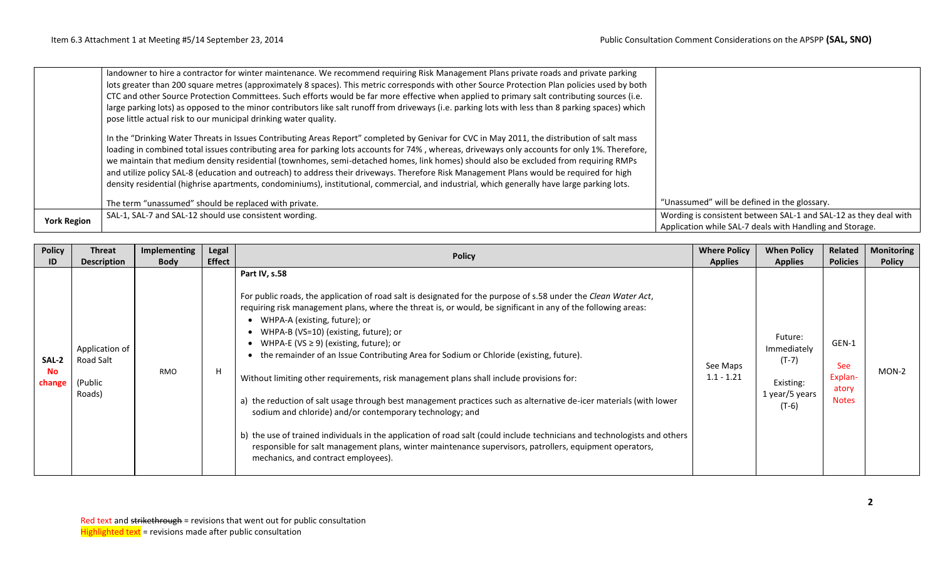|                    | landowner to hire a contractor for winter maintenance. We recommend requiring Risk Management Plans private roads and private parking<br>lots greater than 200 square metres (approximately 8 spaces). This metric corresponds with other Source Protection Plan policies used by both<br>CTC and other Source Protection Committees. Such efforts would be far more effective when applied to primary salt contributing sources (i.e.<br>large parking lots) as opposed to the minor contributors like salt runoff from driveways (i.e. parking lots with less than 8 parking spaces) which<br>pose little actual risk to our municipal drinking water quality.                                                                  |                                                                                                                              |
|--------------------|-----------------------------------------------------------------------------------------------------------------------------------------------------------------------------------------------------------------------------------------------------------------------------------------------------------------------------------------------------------------------------------------------------------------------------------------------------------------------------------------------------------------------------------------------------------------------------------------------------------------------------------------------------------------------------------------------------------------------------------|------------------------------------------------------------------------------------------------------------------------------|
|                    | In the "Drinking Water Threats in Issues Contributing Areas Report" completed by Genivar for CVC in May 2011, the distribution of salt mass<br>loading in combined total issues contributing area for parking lots accounts for 74%, whereas, driveways only accounts for only 1%. Therefore,<br>we maintain that medium density residential (townhomes, semi-detached homes, link homes) should also be excluded from requiring RMPs<br>and utilize policy SAL-8 (education and outreach) to address their driveways. Therefore Risk Management Plans would be required for high<br>density residential (highrise apartments, condominiums), institutional, commercial, and industrial, which generally have large parking lots. |                                                                                                                              |
|                    | The term "unassumed" should be replaced with private.                                                                                                                                                                                                                                                                                                                                                                                                                                                                                                                                                                                                                                                                             | "Unassumed" will be defined in the glossary.                                                                                 |
| <b>York Region</b> | SAL-1, SAL-7 and SAL-12 should use consistent wording.                                                                                                                                                                                                                                                                                                                                                                                                                                                                                                                                                                                                                                                                            | Wording is consistent between SAL-1 and SAL-12 as they deal with<br>Application while SAL-7 deals with Handling and Storage. |

| <b>Policy</b>                      | <b>Threat</b>                                                          | Implementing       | Legal<br><b>Effect</b> | <b>Policy</b>                                                                                                                                                                                                                                                                                                                                                                                                                                                                                                                                                                                                                                                                                                                                                                                                                                                                                                                                                                                                                     | <b>Where Policy</b>                        | <b>When Policy</b>                                                                            | Related                                                                    | <b>Monitoring</b>      |
|------------------------------------|------------------------------------------------------------------------|--------------------|------------------------|-----------------------------------------------------------------------------------------------------------------------------------------------------------------------------------------------------------------------------------------------------------------------------------------------------------------------------------------------------------------------------------------------------------------------------------------------------------------------------------------------------------------------------------------------------------------------------------------------------------------------------------------------------------------------------------------------------------------------------------------------------------------------------------------------------------------------------------------------------------------------------------------------------------------------------------------------------------------------------------------------------------------------------------|--------------------------------------------|-----------------------------------------------------------------------------------------------|----------------------------------------------------------------------------|------------------------|
| ID<br>SAL-2<br><b>No</b><br>change | <b>Description</b><br>Application of<br>Road Salt<br>(Public<br>Roads) | <b>Body</b><br>RMO | H                      | Part IV, s.58<br>For public roads, the application of road salt is designated for the purpose of s.58 under the Clean Water Act,<br>requiring risk management plans, where the threat is, or would, be significant in any of the following areas:<br>WHPA-A (existing, future); or<br>WHPA-B (VS=10) (existing, future); or<br>WHPA-E (VS $\geq$ 9) (existing, future); or<br>the remainder of an Issue Contributing Area for Sodium or Chloride (existing, future).<br>Without limiting other requirements, risk management plans shall include provisions for:<br>a) the reduction of salt usage through best management practices such as alternative de-icer materials (with lower<br>sodium and chloride) and/or contemporary technology; and<br>b) the use of trained individuals in the application of road salt (could include technicians and technologists and others<br>responsible for salt management plans, winter maintenance supervisors, patrollers, equipment operators,<br>mechanics, and contract employees). | <b>Applies</b><br>See Maps<br>$1.1 - 1.21$ | <b>Applies</b><br>Future:<br>Immediately<br>$(T-7)$<br>Existing:<br>1 year/5 years<br>$(T-6)$ | <b>Policies</b><br>GEN-1<br><b>See</b><br>Explan-<br>atory<br><b>Notes</b> | <b>Policy</b><br>MON-2 |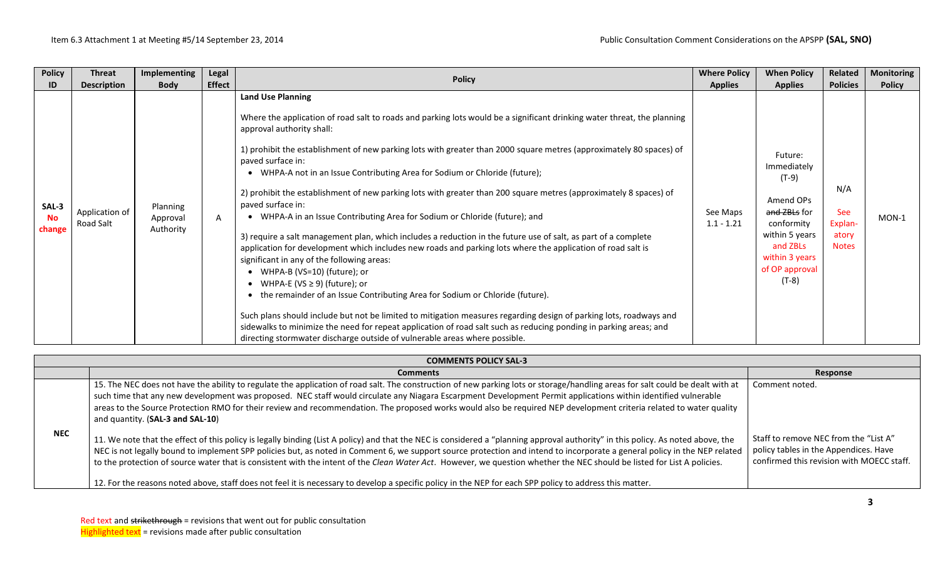| <b>Policy</b>                | <b>Threat</b>               | Implementing                      | Legal         |                                                                                                                                                                                                                                                                                                                                                                                                                                                                                                                                                                                                                                                                                                                                                                                                                                                                                                                                                                                                                                                                                                                                                                                                                                                                                                                                                                                                | <b>Where Policy</b>      | <b>When Policy</b>                                                                                                                                      | Related                                        | <b>Monitoring</b> |
|------------------------------|-----------------------------|-----------------------------------|---------------|------------------------------------------------------------------------------------------------------------------------------------------------------------------------------------------------------------------------------------------------------------------------------------------------------------------------------------------------------------------------------------------------------------------------------------------------------------------------------------------------------------------------------------------------------------------------------------------------------------------------------------------------------------------------------------------------------------------------------------------------------------------------------------------------------------------------------------------------------------------------------------------------------------------------------------------------------------------------------------------------------------------------------------------------------------------------------------------------------------------------------------------------------------------------------------------------------------------------------------------------------------------------------------------------------------------------------------------------------------------------------------------------|--------------------------|---------------------------------------------------------------------------------------------------------------------------------------------------------|------------------------------------------------|-------------------|
| ID                           | <b>Description</b>          | <b>Body</b>                       | <b>Effect</b> | <b>Policy</b>                                                                                                                                                                                                                                                                                                                                                                                                                                                                                                                                                                                                                                                                                                                                                                                                                                                                                                                                                                                                                                                                                                                                                                                                                                                                                                                                                                                  | <b>Applies</b>           | <b>Applies</b>                                                                                                                                          | <b>Policies</b>                                | <b>Policy</b>     |
| SAL-3<br><b>No</b><br>change | Application of<br>Road Salt | Planning<br>Approval<br>Authority | A             | <b>Land Use Planning</b><br>Where the application of road salt to roads and parking lots would be a significant drinking water threat, the planning<br>approval authority shall:<br>1) prohibit the establishment of new parking lots with greater than 2000 square metres (approximately 80 spaces) of<br>paved surface in:<br>WHPA-A not in an Issue Contributing Area for Sodium or Chloride (future);<br>2) prohibit the establishment of new parking lots with greater than 200 square metres (approximately 8 spaces) of<br>paved surface in:<br>• WHPA-A in an Issue Contributing Area for Sodium or Chloride (future); and<br>3) require a salt management plan, which includes a reduction in the future use of salt, as part of a complete<br>application for development which includes new roads and parking lots where the application of road salt is<br>significant in any of the following areas:<br>WHPA-B (VS=10) (future); or<br>WHPA-E (VS $\geq$ 9) (future); or<br>the remainder of an Issue Contributing Area for Sodium or Chloride (future).<br>Such plans should include but not be limited to mitigation measures regarding design of parking lots, roadways and<br>sidewalks to minimize the need for repeat application of road salt such as reducing ponding in parking areas; and<br>directing stormwater discharge outside of vulnerable areas where possible. | See Maps<br>$1.1 - 1.21$ | Future:<br>Immediately<br>$(T-9)$<br>Amend OPs<br>and ZBLs for<br>conformity<br>within 5 years<br>and ZBLs<br>within 3 years<br>of OP approval<br>(T-8) | N/A<br>See<br>Explan-<br>atory<br><b>Notes</b> | MON-1             |

|            | <b>COMMENTS POLICY SAL-3</b>                                                                                                                                                                                                                                                                                                                                                                                                                                                                                                                                                                                                                                                                         |                                                                                                                             |  |  |  |  |  |  |  |
|------------|------------------------------------------------------------------------------------------------------------------------------------------------------------------------------------------------------------------------------------------------------------------------------------------------------------------------------------------------------------------------------------------------------------------------------------------------------------------------------------------------------------------------------------------------------------------------------------------------------------------------------------------------------------------------------------------------------|-----------------------------------------------------------------------------------------------------------------------------|--|--|--|--|--|--|--|
|            | <b>Comments</b>                                                                                                                                                                                                                                                                                                                                                                                                                                                                                                                                                                                                                                                                                      | Response                                                                                                                    |  |  |  |  |  |  |  |
|            | 15. The NEC does not have the ability to regulate the application of road salt. The construction of new parking lots or storage/handling areas for salt could be dealt with at<br>such time that any new development was proposed. NEC staff would circulate any Niagara Escarpment Development Permit applications within identified vulnerable<br>areas to the Source Protection RMO for their review and recommendation. The proposed works would also be required NEP development criteria related to water quality<br>and quantity. (SAL-3 and SAL-10)                                                                                                                                          | Comment noted.                                                                                                              |  |  |  |  |  |  |  |
| <b>NEC</b> | 11. We note that the effect of this policy is legally binding (List A policy) and that the NEC is considered a "planning approval authority" in this policy. As noted above, the<br>NEC is not legally bound to implement SPP policies but, as noted in Comment 6, we support source protection and intend to incorporate a general policy in the NEP related<br>to the protection of source water that is consistent with the intent of the Clean Water Act. However, we question whether the NEC should be listed for List A policies.<br>12. For the reasons noted above, staff does not feel it is necessary to develop a specific policy in the NEP for each SPP policy to address this matter. | Staff to remove NEC from the "List A"<br>policy tables in the Appendices. Have<br>confirmed this revision with MOECC staff. |  |  |  |  |  |  |  |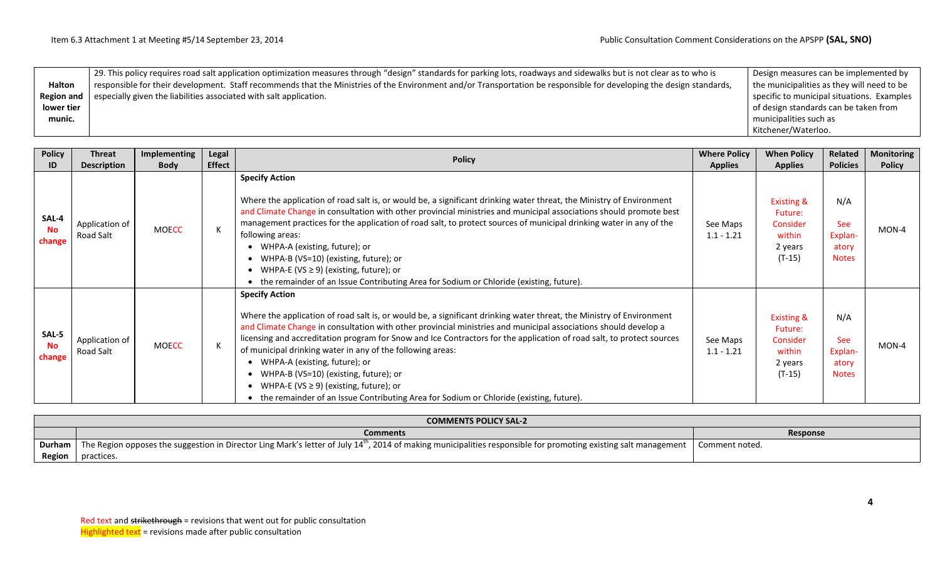|                   | 29. This policy requires road salt application optimization measures through "design" standards for parking lots, roadways and sidewalks but is not clear as to who is | Design measures can be implemented by      |
|-------------------|------------------------------------------------------------------------------------------------------------------------------------------------------------------------|--------------------------------------------|
| <b>Halton</b>     | responsible for their development. Staff recommends that the Ministries of the Environment and/or Transportation be responsible for developing the design standards,   | the municipalities as they will need to be |
| <b>Region and</b> | especially given the liabilities associated with salt application.                                                                                                     | specific to municipal situations. Examples |
| lower tier        |                                                                                                                                                                        | of design standards can be taken from      |
| munic.            |                                                                                                                                                                        | municipalities such as                     |
|                   |                                                                                                                                                                        | Kitchener/Waterloo.                        |

| <b>Policy</b><br>ID          | <b>Threat</b><br><b>Description</b> | Implementing<br><b>Body</b> | <b>Legal</b><br><b>Effect</b> | <b>Policy</b>                                                                                                                                                                                                                                                                                                                                                                                                                                                                                                                                                                                                                                                                | <b>Where Policy</b><br><b>Applies</b> | <b>When Policy</b><br><b>Applies</b>                                                 | Related<br><b>Policies</b>                            | <b>Monitoring</b><br><b>Policy</b> |
|------------------------------|-------------------------------------|-----------------------------|-------------------------------|------------------------------------------------------------------------------------------------------------------------------------------------------------------------------------------------------------------------------------------------------------------------------------------------------------------------------------------------------------------------------------------------------------------------------------------------------------------------------------------------------------------------------------------------------------------------------------------------------------------------------------------------------------------------------|---------------------------------------|--------------------------------------------------------------------------------------|-------------------------------------------------------|------------------------------------|
| SAL-4<br><b>No</b><br>change | Application of<br>Road Salt         | <b>MOECC</b>                |                               | <b>Specify Action</b><br>Where the application of road salt is, or would be, a significant drinking water threat, the Ministry of Environment<br>and Climate Change in consultation with other provincial ministries and municipal associations should promote best<br>management practices for the application of road salt, to protect sources of municipal drinking water in any of the<br>following areas:<br>WHPA-A (existing, future); or<br>WHPA-B (VS=10) (existing, future); or<br>WHPA-E (VS $\geq$ 9) (existing, future); or<br>the remainder of an Issue Contributing Area for Sodium or Chloride (existing, future).                                            | See Maps<br>$1.1 - 1.21$              | <b>Existing &amp;</b><br>Future:<br><b>Consider</b><br>within<br>2 years<br>$(T-15)$ | N/A<br><b>See</b><br>Explan-<br>atory<br><b>Notes</b> | $MON-4$                            |
| SAL-5<br><b>No</b><br>change | Application of<br>Road Salt         | <b>MOECC</b>                |                               | <b>Specify Action</b><br>Where the application of road salt is, or would be, a significant drinking water threat, the Ministry of Environment<br>and Climate Change in consultation with other provincial ministries and municipal associations should develop a<br>licensing and accreditation program for Snow and Ice Contractors for the application of road salt, to protect sources<br>of municipal drinking water in any of the following areas:<br>WHPA-A (existing, future); or<br>WHPA-B (VS=10) (existing, future); or<br>WHPA-E (VS $\geq$ 9) (existing, future); or<br>• the remainder of an Issue Contributing Area for Sodium or Chloride (existing, future). | See Maps<br>$1.1 - 1.21$              | <b>Existing &amp;</b><br>Future:<br>Consider<br>within<br>2 years<br>$(T-15)$        | N/A<br><b>See</b><br>Explan-<br>atory<br><b>Notes</b> | $MON-4$                            |

|        | <b>COMMENTS POLICY SAL-2</b>                                                                                                                                          |                |  |  |  |  |  |  |  |
|--------|-----------------------------------------------------------------------------------------------------------------------------------------------------------------------|----------------|--|--|--|--|--|--|--|
|        | <b>Comments</b>                                                                                                                                                       | Response       |  |  |  |  |  |  |  |
| Durham | ", 2014 of making municipalities responsible for promoting existing salt management<br>The Region opposes the suggestion in Director Ling Mark's letter of July 14"', | Comment noted. |  |  |  |  |  |  |  |
| Region | practices.                                                                                                                                                            |                |  |  |  |  |  |  |  |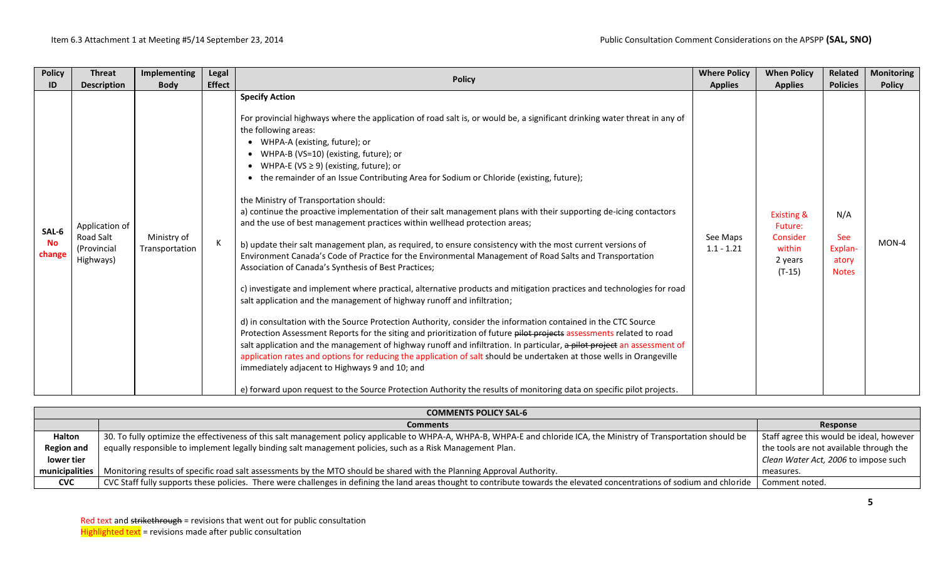| <b>Policy</b>                | <b>Threat</b>                                           | Implementing                  | Legal         | <b>Policy</b>                                                                                                                                                                                                                                                                                                                                                                                                                                                                                                                                                                                                                                                                                                                                                                                                                                                                                                                                                                                                                                                                                                                                                                                                                                                                                                                                                                                                                                                                                                                                                                                                                                                                                                                                                                                           | <b>Where Policy</b>      | <b>When Policy</b>                                                            | <b>Related</b>                                 | <b>Monitoring</b> |
|------------------------------|---------------------------------------------------------|-------------------------------|---------------|---------------------------------------------------------------------------------------------------------------------------------------------------------------------------------------------------------------------------------------------------------------------------------------------------------------------------------------------------------------------------------------------------------------------------------------------------------------------------------------------------------------------------------------------------------------------------------------------------------------------------------------------------------------------------------------------------------------------------------------------------------------------------------------------------------------------------------------------------------------------------------------------------------------------------------------------------------------------------------------------------------------------------------------------------------------------------------------------------------------------------------------------------------------------------------------------------------------------------------------------------------------------------------------------------------------------------------------------------------------------------------------------------------------------------------------------------------------------------------------------------------------------------------------------------------------------------------------------------------------------------------------------------------------------------------------------------------------------------------------------------------------------------------------------------------|--------------------------|-------------------------------------------------------------------------------|------------------------------------------------|-------------------|
| ID                           | <b>Description</b>                                      | <b>Body</b>                   | <b>Effect</b> |                                                                                                                                                                                                                                                                                                                                                                                                                                                                                                                                                                                                                                                                                                                                                                                                                                                                                                                                                                                                                                                                                                                                                                                                                                                                                                                                                                                                                                                                                                                                                                                                                                                                                                                                                                                                         | <b>Applies</b>           | <b>Applies</b>                                                                | <b>Policies</b>                                | <b>Policy</b>     |
| SAL-6<br><b>No</b><br>change | Application of<br>Road Salt<br>(Provincial<br>Highways) | Ministry of<br>Transportation |               | <b>Specify Action</b><br>For provincial highways where the application of road salt is, or would be, a significant drinking water threat in any of<br>the following areas:<br>WHPA-A (existing, future); or<br>WHPA-B (VS=10) (existing, future); or<br>WHPA-E (VS $\geq$ 9) (existing, future); or<br>the remainder of an Issue Contributing Area for Sodium or Chloride (existing, future);<br>the Ministry of Transportation should:<br>a) continue the proactive implementation of their salt management plans with their supporting de-icing contactors<br>and the use of best management practices within wellhead protection areas;<br>b) update their salt management plan, as required, to ensure consistency with the most current versions of<br>Environment Canada's Code of Practice for the Environmental Management of Road Salts and Transportation<br>Association of Canada's Synthesis of Best Practices;<br>c) investigate and implement where practical, alternative products and mitigation practices and technologies for road<br>salt application and the management of highway runoff and infiltration;<br>d) in consultation with the Source Protection Authority, consider the information contained in the CTC Source<br>Protection Assessment Reports for the siting and prioritization of future pilot projects assessments related to road<br>salt application and the management of highway runoff and infiltration. In particular, a pilot project an assessment of<br>application rates and options for reducing the application of salt should be undertaken at those wells in Orangeville<br>immediately adjacent to Highways 9 and 10; and<br>e) forward upon request to the Source Protection Authority the results of monitoring data on specific pilot projects. | See Maps<br>$1.1 - 1.21$ | <b>Existing &amp;</b><br>Future:<br>Consider<br>within<br>2 years<br>$(T-15)$ | N/A<br>See<br>Explan-<br>atory<br><b>Notes</b> | MON-4             |

|                   | <b>COMMENTS POLICY SAL-6</b>                                                                                                                                               |                                          |  |  |  |  |  |  |
|-------------------|----------------------------------------------------------------------------------------------------------------------------------------------------------------------------|------------------------------------------|--|--|--|--|--|--|
|                   | <b>Comments</b>                                                                                                                                                            | Response                                 |  |  |  |  |  |  |
| Halton            | 30. To fully optimize the effectiveness of this salt management policy applicable to WHPA-A, WHPA-B, WHPA-E and chloride ICA, the Ministry of Transportation should be     | Staff agree this would be ideal, however |  |  |  |  |  |  |
| <b>Region and</b> | equally responsible to implement legally binding salt management policies, such as a Risk Management Plan.                                                                 | the tools are not available through the  |  |  |  |  |  |  |
| lower tier        |                                                                                                                                                                            | Clean Water Act, 2006 to impose such     |  |  |  |  |  |  |
| municipalities    | Monitoring results of specific road salt assessments by the MTO should be shared with the Planning Approval Authority.                                                     | measures.                                |  |  |  |  |  |  |
| <b>CVC</b>        | CVC Staff fully supports these policies. There were challenges in defining the land areas thought to contribute towards the elevated concentrations of sodium and chloride | Comment noted.                           |  |  |  |  |  |  |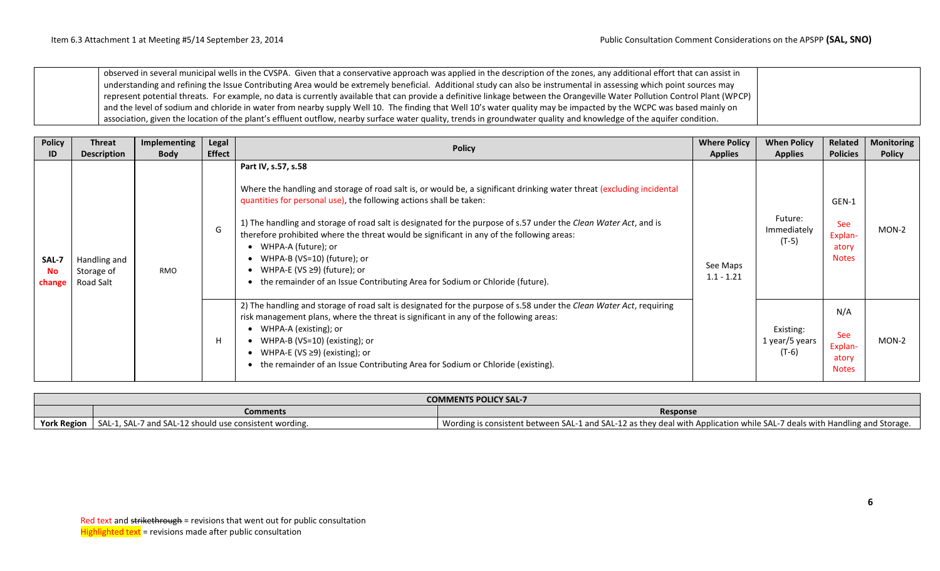observed in several municipal wells in the CVSPA. Given that a conservative approach was applied in the description of the zones, any additional effort that can assist in understanding and refining the Issue Contributing Area would be extremely beneficial. Additional study can also be instrumental in assessing which point sources may represent potential threats. For example, no data is currently available that can provide a definitive linkage between the Orangeville Water Pollution Control Plant (WPCP) and the level of sodium and chloride in water from nearby supply Well 10. The finding that Well 10's water quality may be impacted by the WCPC was based mainly on association, given the location of the plant's effluent outflow, nearby surface water quality, trends in groundwater quality and knowledge of the aquifer condition.

| <b>Policy</b>                | <b>Threat</b>                           | Implementing | Legal         | <b>Policy</b>                                                                                                                                                                                                                                                                                                                                                                                                                                                                                                                                                                                              | <b>Where Policy</b>      | <b>When Policy</b>                     | Related                                          | <b>Monitoring</b> |
|------------------------------|-----------------------------------------|--------------|---------------|------------------------------------------------------------------------------------------------------------------------------------------------------------------------------------------------------------------------------------------------------------------------------------------------------------------------------------------------------------------------------------------------------------------------------------------------------------------------------------------------------------------------------------------------------------------------------------------------------------|--------------------------|----------------------------------------|--------------------------------------------------|-------------------|
| ID                           | <b>Description</b>                      | <b>Body</b>  | <b>Effect</b> |                                                                                                                                                                                                                                                                                                                                                                                                                                                                                                                                                                                                            | <b>Applies</b>           | <b>Applies</b>                         | <b>Policies</b>                                  | <b>Policy</b>     |
| SAL-7<br><b>No</b><br>change | Handling and<br>Storage of<br>Road Salt | <b>RMO</b>   | G             | Part IV, s.57, s.58<br>Where the handling and storage of road salt is, or would be, a significant drinking water threat (excluding incidental<br>quantities for personal use), the following actions shall be taken:<br>1) The handling and storage of road salt is designated for the purpose of s.57 under the Clean Water Act, and is<br>therefore prohibited where the threat would be significant in any of the following areas:<br>WHPA-A (future); or<br>WHPA-B (VS=10) (future); or<br>WHPA-E (VS ≥9) (future); or<br>the remainder of an Issue Contributing Area for Sodium or Chloride (future). | See Maps<br>$1.1 - 1.21$ | Future:<br>Immediately<br>$(T-5)$      | GEN-1<br>See<br>Explan-<br>atory<br><b>Notes</b> | $MON-2$           |
|                              |                                         |              | H             | 2) The handling and storage of road salt is designated for the purpose of s.58 under the Clean Water Act, requiring<br>risk management plans, where the threat is significant in any of the following areas:<br>WHPA-A (existing); or<br>WHPA-B (VS=10) (existing); or<br>WHPA-E (VS $\geq$ 9) (existing); or<br>the remainder of an Issue Contributing Area for Sodium or Chloride (existing).                                                                                                                                                                                                            |                          | Existing:<br>1 year/5 years<br>$(T-6)$ | N/A<br>See<br>Explan-<br>atory<br><b>Notes</b>   | MON-2             |

|                    | <b>COMMENTS POLICY SAL-7</b>                           |                                                                                                                           |  |  |  |  |  |  |
|--------------------|--------------------------------------------------------|---------------------------------------------------------------------------------------------------------------------------|--|--|--|--|--|--|
|                    | Comments                                               | <b>Response</b>                                                                                                           |  |  |  |  |  |  |
| <b>York Region</b> | SAL-1, SAL-7 and SAL-12 should use consistent wording. | Wording is consistent between SAL-1 and SAL-12 as they deal with Application while SAL-7 deals with Handling and Storage. |  |  |  |  |  |  |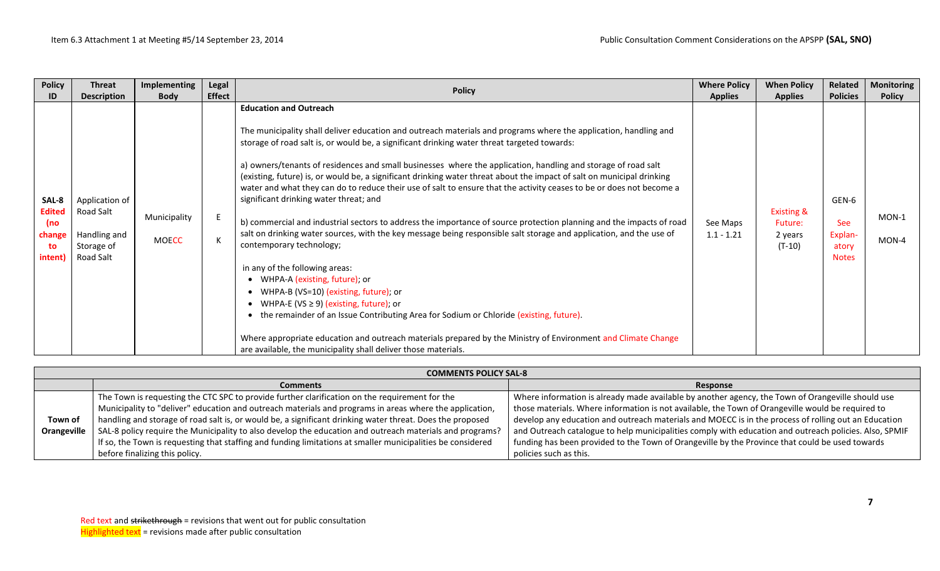| <b>Policy</b>                                             | <b>Threat</b>                                                          | Implementing                 | Legal         |                                                                                                                                                                                                                                                                                                                                                                                                                                                                                                                                                                                                                                                                                                                                                                                                                                                                                                                                                                                                                                                                                                                                                                                                                                                                                                                                                                                               | <b>Where Policy</b>      | <b>When Policy</b>                                      | Related                                          | <b>Monitoring</b> |
|-----------------------------------------------------------|------------------------------------------------------------------------|------------------------------|---------------|-----------------------------------------------------------------------------------------------------------------------------------------------------------------------------------------------------------------------------------------------------------------------------------------------------------------------------------------------------------------------------------------------------------------------------------------------------------------------------------------------------------------------------------------------------------------------------------------------------------------------------------------------------------------------------------------------------------------------------------------------------------------------------------------------------------------------------------------------------------------------------------------------------------------------------------------------------------------------------------------------------------------------------------------------------------------------------------------------------------------------------------------------------------------------------------------------------------------------------------------------------------------------------------------------------------------------------------------------------------------------------------------------|--------------------------|---------------------------------------------------------|--------------------------------------------------|-------------------|
| ID                                                        | <b>Description</b>                                                     | <b>Body</b>                  | <b>Effect</b> | <b>Policy</b>                                                                                                                                                                                                                                                                                                                                                                                                                                                                                                                                                                                                                                                                                                                                                                                                                                                                                                                                                                                                                                                                                                                                                                                                                                                                                                                                                                                 | <b>Applies</b>           | <b>Applies</b>                                          | <b>Policies</b>                                  | <b>Policy</b>     |
| SAL-8<br><b>Edited</b><br>(no)<br>change<br>to<br>intent) | Application of<br>Road Salt<br>Handling and<br>Storage of<br>Road Salt | Municipality<br><b>MOECC</b> |               | <b>Education and Outreach</b><br>The municipality shall deliver education and outreach materials and programs where the application, handling and<br>storage of road salt is, or would be, a significant drinking water threat targeted towards:<br>a) owners/tenants of residences and small businesses where the application, handling and storage of road salt<br>(existing, future) is, or would be, a significant drinking water threat about the impact of salt on municipal drinking<br>water and what they can do to reduce their use of salt to ensure that the activity ceases to be or does not become a<br>significant drinking water threat; and<br>b) commercial and industrial sectors to address the importance of source protection planning and the impacts of road<br>salt on drinking water sources, with the key message being responsible salt storage and application, and the use of<br>contemporary technology;<br>in any of the following areas:<br>WHPA-A (existing, future); or<br>$\bullet$<br>WHPA-B (VS=10) (existing, future); or<br>WHPA-E (VS $\geq$ 9) (existing, future); or<br>the remainder of an Issue Contributing Area for Sodium or Chloride (existing, future).<br>Where appropriate education and outreach materials prepared by the Ministry of Environment and Climate Change<br>are available, the municipality shall deliver those materials. | See Maps<br>$1.1 - 1.21$ | <b>Existing &amp;</b><br>Future:<br>2 years<br>$(T-10)$ | GEN-6<br>See<br>Explan-<br>atory<br><b>Notes</b> | MON-1<br>$MON-4$  |

|             | <b>COMMENTS POLICY SAL-8</b>                                                                                |                                                                                                        |
|-------------|-------------------------------------------------------------------------------------------------------------|--------------------------------------------------------------------------------------------------------|
|             | <b>Comments</b>                                                                                             | Response                                                                                               |
|             | The Town is requesting the CTC SPC to provide further clarification on the requirement for the              | Where information is already made available by another agency, the Town of Orangeville should use      |
|             | Municipality to "deliver" education and outreach materials and programs in areas where the application,     | those materials. Where information is not available, the Town of Orangeville would be required to      |
| Town of     | handling and storage of road salt is, or would be, a significant drinking water threat. Does the proposed   | develop any education and outreach materials and MOECC is in the process of rolling out an Education   |
| Orangeville | SAL-8 policy require the Municipality to also develop the education and outreach materials and programs?    | and Outreach catalogue to help municipalities comply with education and outreach policies. Also, SPMIF |
|             | If so, the Town is requesting that staffing and funding limitations at smaller municipalities be considered | funding has been provided to the Town of Orangeville by the Province that could be used towards        |
|             | before finalizing this policy.                                                                              | policies such as this.                                                                                 |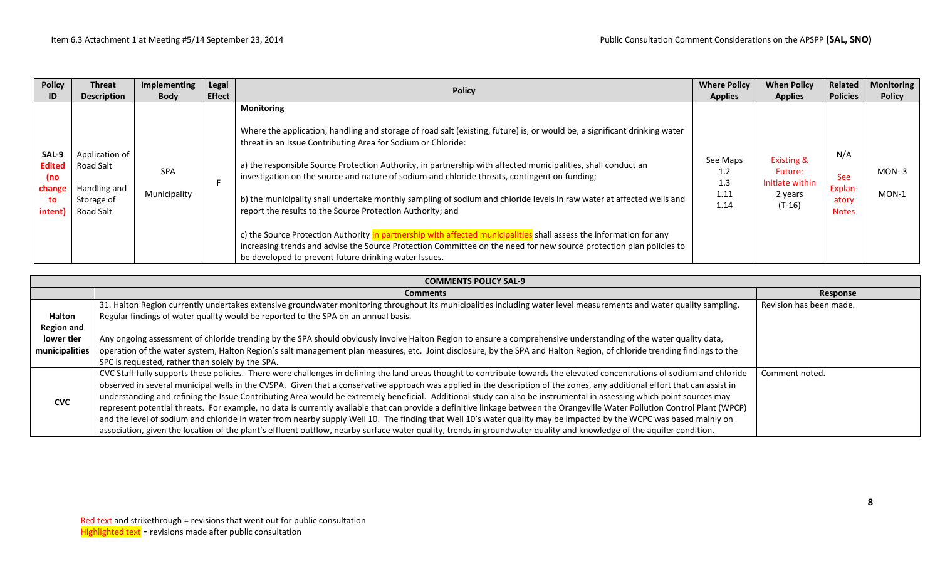| <b>Policy</b>                                            | <b>Threat</b>                                                          | Implementing               | Legal         | <b>Policy</b>                                                                                                                                                                                                                                                                                                                                                                                                                                                                                                                                                                                                                                                                                                                                                                                                                                                                                                                  | <b>Where Policy</b>                    | <b>When Policy</b>                                                         | Related                                               | <b>Monitoring</b>  |
|----------------------------------------------------------|------------------------------------------------------------------------|----------------------------|---------------|--------------------------------------------------------------------------------------------------------------------------------------------------------------------------------------------------------------------------------------------------------------------------------------------------------------------------------------------------------------------------------------------------------------------------------------------------------------------------------------------------------------------------------------------------------------------------------------------------------------------------------------------------------------------------------------------------------------------------------------------------------------------------------------------------------------------------------------------------------------------------------------------------------------------------------|----------------------------------------|----------------------------------------------------------------------------|-------------------------------------------------------|--------------------|
| ID                                                       | <b>Description</b>                                                     | <b>Body</b>                | <b>Effect</b> |                                                                                                                                                                                                                                                                                                                                                                                                                                                                                                                                                                                                                                                                                                                                                                                                                                                                                                                                | <b>Applies</b>                         | <b>Applies</b>                                                             | <b>Policies</b>                                       | <b>Policy</b>      |
| SAL-9<br><b>Edited</b><br>(no<br>change<br>to<br>intent) | Application of<br>Road Salt<br>Handling and<br>Storage of<br>Road Salt | <b>SPA</b><br>Municipality |               | <b>Monitoring</b><br>Where the application, handling and storage of road salt (existing, future) is, or would be, a significant drinking water<br>threat in an Issue Contributing Area for Sodium or Chloride:<br>a) the responsible Source Protection Authority, in partnership with affected municipalities, shall conduct an<br>investigation on the source and nature of sodium and chloride threats, contingent on funding;<br>b) the municipality shall undertake monthly sampling of sodium and chloride levels in raw water at affected wells and<br>report the results to the Source Protection Authority; and<br>c) the Source Protection Authority in partnership with affected municipalities shall assess the information for any<br>increasing trends and advise the Source Protection Committee on the need for new source protection plan policies to<br>be developed to prevent future drinking water Issues. | See Maps<br>1.2<br>1.3<br>1.11<br>1.14 | <b>Existing &amp;</b><br>Future:<br>Initiate within<br>2 years<br>$(T-16)$ | N/A<br><b>See</b><br>Explan-<br>atory<br><b>Notes</b> | $MON-3$<br>$MON-1$ |

|                                           | <b>COMMENTS POLICY SAL-9</b>                                                                                                                                                                                                                                                                                                                                                                                                                                                                                                                                                                                                                                                                                                                                                                                                                                                                                                                                                                                                                                  |                         |  |  |  |  |  |  |  |  |
|-------------------------------------------|---------------------------------------------------------------------------------------------------------------------------------------------------------------------------------------------------------------------------------------------------------------------------------------------------------------------------------------------------------------------------------------------------------------------------------------------------------------------------------------------------------------------------------------------------------------------------------------------------------------------------------------------------------------------------------------------------------------------------------------------------------------------------------------------------------------------------------------------------------------------------------------------------------------------------------------------------------------------------------------------------------------------------------------------------------------|-------------------------|--|--|--|--|--|--|--|--|
|                                           | <b>Comments</b>                                                                                                                                                                                                                                                                                                                                                                                                                                                                                                                                                                                                                                                                                                                                                                                                                                                                                                                                                                                                                                               | Response                |  |  |  |  |  |  |  |  |
| Halton<br><b>Region and</b><br>lower tier | 31. Halton Region currently undertakes extensive groundwater monitoring throughout its municipalities including water level measurements and water quality sampling.<br>Regular findings of water quality would be reported to the SPA on an annual basis.<br>Any ongoing assessment of chloride trending by the SPA should obviously involve Halton Region to ensure a comprehensive understanding of the water quality data,                                                                                                                                                                                                                                                                                                                                                                                                                                                                                                                                                                                                                                | Revision has been made. |  |  |  |  |  |  |  |  |
| municipalities                            | operation of the water system, Halton Region's salt management plan measures, etc. Joint disclosure, by the SPA and Halton Region, of chloride trending findings to the<br>SPC is requested, rather than solely by the SPA.                                                                                                                                                                                                                                                                                                                                                                                                                                                                                                                                                                                                                                                                                                                                                                                                                                   |                         |  |  |  |  |  |  |  |  |
| <b>CVC</b>                                | CVC Staff fully supports these policies. There were challenges in defining the land areas thought to contribute towards the elevated concentrations of sodium and chloride<br>observed in several municipal wells in the CVSPA. Given that a conservative approach was applied in the description of the zones, any additional effort that can assist in<br>understanding and refining the Issue Contributing Area would be extremely beneficial. Additional study can also be instrumental in assessing which point sources may<br>represent potential threats. For example, no data is currently available that can provide a definitive linkage between the Orangeville Water Pollution Control Plant (WPCP)<br>and the level of sodium and chloride in water from nearby supply Well 10. The finding that Well 10's water quality may be impacted by the WCPC was based mainly on<br>association, given the location of the plant's effluent outflow, nearby surface water quality, trends in groundwater quality and knowledge of the aquifer condition. | Comment noted.          |  |  |  |  |  |  |  |  |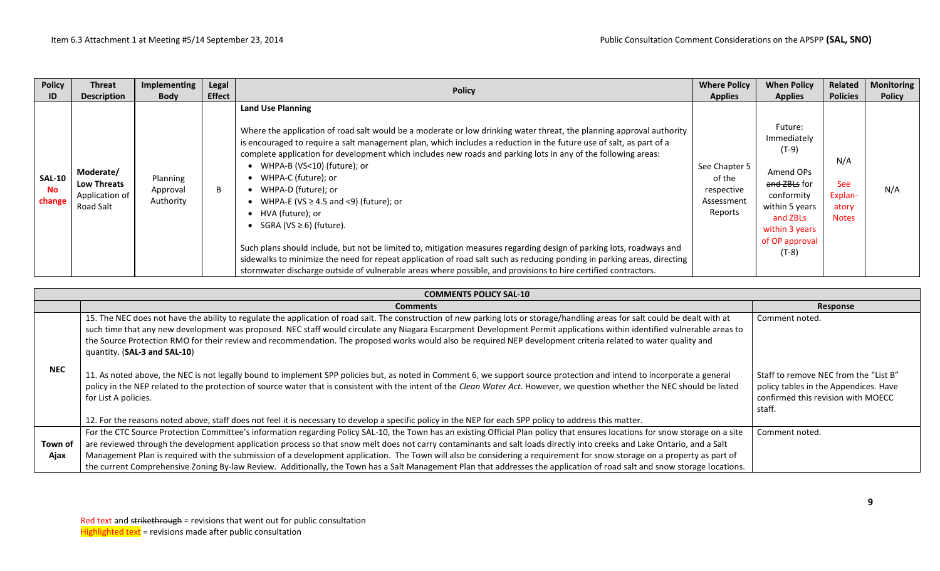| <b>Policy</b>                        | <b>Threat</b>                                                  | Implementing                      | Legal         |                                                                                                                                                                                                                                                                                                                                                                                                                                                                                                                                                                                                                                                                                                                                                                                                                                                                                                                                              | <b>Where Policy</b>                                            | <b>When Policy</b>                                                                                                                                        | Related                                               | <b>Monitoring</b> |
|--------------------------------------|----------------------------------------------------------------|-----------------------------------|---------------|----------------------------------------------------------------------------------------------------------------------------------------------------------------------------------------------------------------------------------------------------------------------------------------------------------------------------------------------------------------------------------------------------------------------------------------------------------------------------------------------------------------------------------------------------------------------------------------------------------------------------------------------------------------------------------------------------------------------------------------------------------------------------------------------------------------------------------------------------------------------------------------------------------------------------------------------|----------------------------------------------------------------|-----------------------------------------------------------------------------------------------------------------------------------------------------------|-------------------------------------------------------|-------------------|
| ID                                   | <b>Description</b>                                             | <b>Body</b>                       | <b>Effect</b> | <b>Policy</b>                                                                                                                                                                                                                                                                                                                                                                                                                                                                                                                                                                                                                                                                                                                                                                                                                                                                                                                                | <b>Applies</b>                                                 | <b>Applies</b>                                                                                                                                            | <b>Policies</b>                                       | <b>Policy</b>     |
| <b>SAL-10</b><br><b>No</b><br>change | Moderate/<br><b>Low Threats</b><br>Application of<br>Road Salt | Planning<br>Approval<br>Authority | B             | <b>Land Use Planning</b><br>Where the application of road salt would be a moderate or low drinking water threat, the planning approval authority<br>is encouraged to require a salt management plan, which includes a reduction in the future use of salt, as part of a<br>complete application for development which includes new roads and parking lots in any of the following areas:<br>WHPA-B (VS<10) (future); or<br>WHPA-C (future); or<br>WHPA-D (future); or<br>WHPA-E (VS $\geq$ 4.5 and <9) (future); or<br>HVA (future); or<br>SGRA (VS $\geq$ 6) (future).<br>Such plans should include, but not be limited to, mitigation measures regarding design of parking lots, roadways and<br>sidewalks to minimize the need for repeat application of road salt such as reducing ponding in parking areas, directing<br>stormwater discharge outside of vulnerable areas where possible, and provisions to hire certified contractors. | See Chapter 5<br>of the<br>respective<br>Assessment<br>Reports | Future:<br>Immediately<br>$(T-9)$<br>Amend OPs<br>and ZBLs for<br>conformity<br>within 5 years<br>and ZBLs<br>within 3 years<br>of OP approval<br>$(T-8)$ | N/A<br><b>See</b><br>Explan-<br>atory<br><b>Notes</b> | N/A               |

|            | <b>COMMENTS POLICY SAL-10</b>                                                                                                                                                                                                                                                                                                                                                                                                                                                                                                                               |                                                                                                                                |  |  |  |  |  |  |  |
|------------|-------------------------------------------------------------------------------------------------------------------------------------------------------------------------------------------------------------------------------------------------------------------------------------------------------------------------------------------------------------------------------------------------------------------------------------------------------------------------------------------------------------------------------------------------------------|--------------------------------------------------------------------------------------------------------------------------------|--|--|--|--|--|--|--|
|            | <b>Comments</b>                                                                                                                                                                                                                                                                                                                                                                                                                                                                                                                                             | Response                                                                                                                       |  |  |  |  |  |  |  |
|            | 15. The NEC does not have the ability to regulate the application of road salt. The construction of new parking lots or storage/handling areas for salt could be dealt with at<br>such time that any new development was proposed. NEC staff would circulate any Niagara Escarpment Development Permit applications within identified vulnerable areas to<br>the Source Protection RMO for their review and recommendation. The proposed works would also be required NEP development criteria related to water quality and<br>quantity. (SAL-3 and SAL-10) | Comment noted.                                                                                                                 |  |  |  |  |  |  |  |
| <b>NEC</b> | 11. As noted above, the NEC is not legally bound to implement SPP policies but, as noted in Comment 6, we support source protection and intend to incorporate a general<br>policy in the NEP related to the protection of source water that is consistent with the intent of the Clean Water Act. However, we question whether the NEC should be listed<br>for List A policies.                                                                                                                                                                             | Staff to remove NEC from the "List B"<br>policy tables in the Appendices. Have<br>confirmed this revision with MOECC<br>staff. |  |  |  |  |  |  |  |
|            | 12. For the reasons noted above, staff does not feel it is necessary to develop a specific policy in the NEP for each SPP policy to address this matter.                                                                                                                                                                                                                                                                                                                                                                                                    |                                                                                                                                |  |  |  |  |  |  |  |
| Town of    | For the CTC Source Protection Committee's information regarding Policy SAL-10, the Town has an existing Official Plan policy that ensures locations for snow storage on a site<br>are reviewed through the development application process so that snow melt does not carry contaminants and salt loads directly into creeks and Lake Ontario, and a Salt                                                                                                                                                                                                   | Comment noted.                                                                                                                 |  |  |  |  |  |  |  |
| Ajax       | Management Plan is required with the submission of a development application. The Town will also be considering a requirement for snow storage on a property as part of<br>the current Comprehensive Zoning By-law Review. Additionally, the Town has a Salt Management Plan that addresses the application of road salt and snow storage locations.                                                                                                                                                                                                        |                                                                                                                                |  |  |  |  |  |  |  |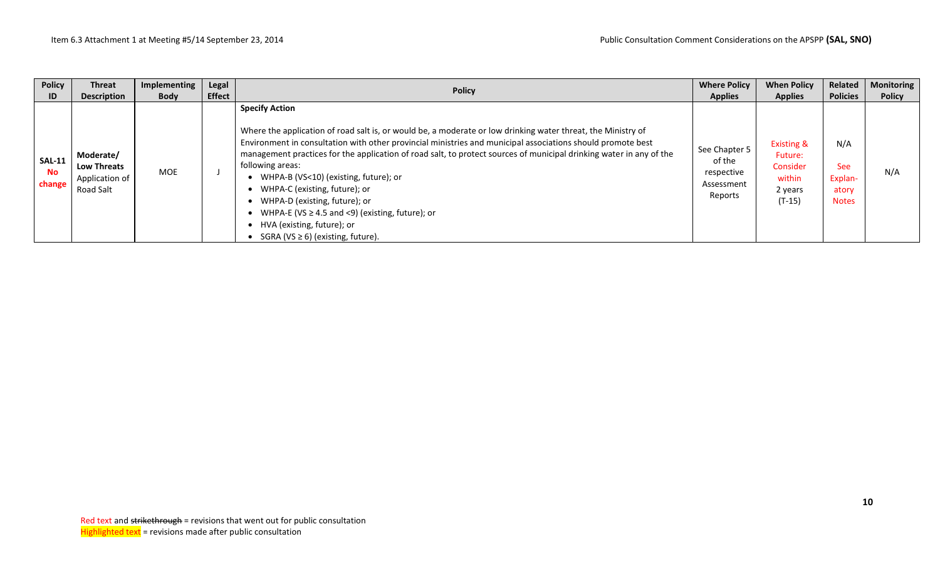| <b>Policy</b>                        | <b>Threat</b>                                                  | Implementing | Legal         | <b>Policy</b>                                                                                                                                                                                                                                                                                                                                                                                                                                                                                                                                                                                                                               | <b>Where Policy</b>                                            | <b>When Policy</b>                                                            | Related                                               | Monitoring    |
|--------------------------------------|----------------------------------------------------------------|--------------|---------------|---------------------------------------------------------------------------------------------------------------------------------------------------------------------------------------------------------------------------------------------------------------------------------------------------------------------------------------------------------------------------------------------------------------------------------------------------------------------------------------------------------------------------------------------------------------------------------------------------------------------------------------------|----------------------------------------------------------------|-------------------------------------------------------------------------------|-------------------------------------------------------|---------------|
| ID                                   | <b>Description</b>                                             | <b>Body</b>  | <b>Effect</b> |                                                                                                                                                                                                                                                                                                                                                                                                                                                                                                                                                                                                                                             | <b>Applies</b>                                                 | <b>Applies</b>                                                                | <b>Policies</b>                                       | <b>Policy</b> |
| <b>SAL-11</b><br><b>No</b><br>change | Moderate/<br><b>Low Threats</b><br>Application of<br>Road Salt | <b>MOE</b>   |               | <b>Specify Action</b><br>Where the application of road salt is, or would be, a moderate or low drinking water threat, the Ministry of<br>Environment in consultation with other provincial ministries and municipal associations should promote best<br>management practices for the application of road salt, to protect sources of municipal drinking water in any of the<br>following areas:<br>WHPA-B (VS<10) (existing, future); or<br>WHPA-C (existing, future); or<br>WHPA-D (existing, future); or<br>WHPA-E (VS $\geq$ 4.5 and <9) (existing, future); or<br>HVA (existing, future); or<br>SGRA ( $VS \ge 6$ ) (existing, future). | See Chapter 5<br>of the<br>respective<br>Assessment<br>Reports | <b>Existing &amp;</b><br>Future:<br>Consider<br>within<br>2 years<br>$(T-15)$ | N/A<br><b>See</b><br>Explan-<br>atory<br><b>Notes</b> | N/A           |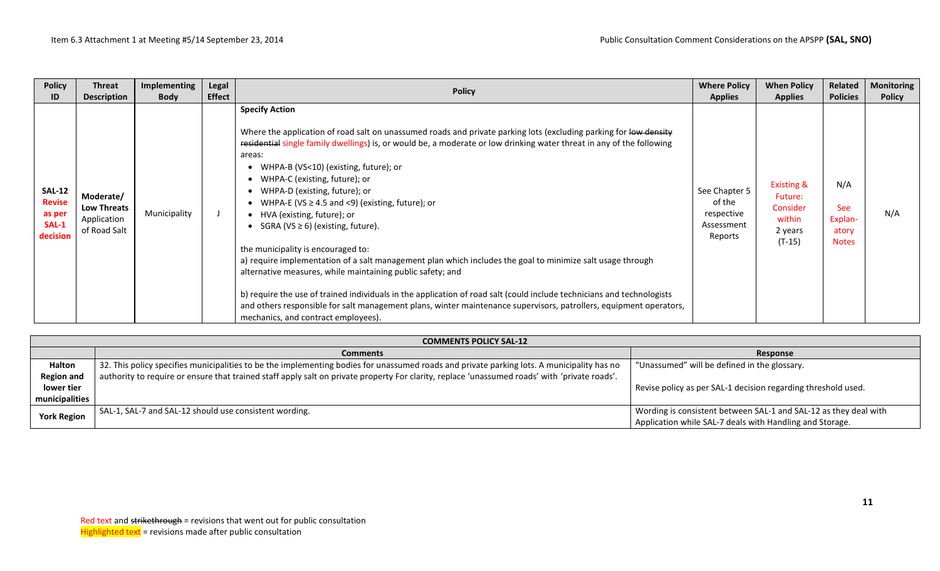| <b>Policy</b>                                                 | <b>Threat</b>                                                  | Implementing | Legal         | <b>Policy</b>                                                                                                                                                                                                                                                                                                                                                                                                                                                                                                                                                                                                                                                                                                                                                                                                                                                                                                                                                                                                                        | <b>Where Policy</b>                                            | <b>When Policy</b>                                                            | Related                                               | <b>Monitoring</b> |
|---------------------------------------------------------------|----------------------------------------------------------------|--------------|---------------|--------------------------------------------------------------------------------------------------------------------------------------------------------------------------------------------------------------------------------------------------------------------------------------------------------------------------------------------------------------------------------------------------------------------------------------------------------------------------------------------------------------------------------------------------------------------------------------------------------------------------------------------------------------------------------------------------------------------------------------------------------------------------------------------------------------------------------------------------------------------------------------------------------------------------------------------------------------------------------------------------------------------------------------|----------------------------------------------------------------|-------------------------------------------------------------------------------|-------------------------------------------------------|-------------------|
| ID                                                            | <b>Description</b>                                             | <b>Body</b>  | <b>Effect</b> |                                                                                                                                                                                                                                                                                                                                                                                                                                                                                                                                                                                                                                                                                                                                                                                                                                                                                                                                                                                                                                      | <b>Applies</b>                                                 | <b>Applies</b>                                                                | <b>Policies</b>                                       | <b>Policy</b>     |
| <b>SAL-12</b><br><b>Revise</b><br>as per<br>SAL-1<br>decision | Moderate/<br><b>Low Threats</b><br>Application<br>of Road Salt | Municipality |               | <b>Specify Action</b><br>Where the application of road salt on unassumed roads and private parking lots (excluding parking for low density<br>residential single family dwellings) is, or would be, a moderate or low drinking water threat in any of the following<br>areas:<br>WHPA-B (VS<10) (existing, future); or<br>WHPA-C (existing, future); or<br>WHPA-D (existing, future); or<br>WHPA-E (VS $\geq$ 4.5 and <9) (existing, future); or<br>• HVA (existing, future); or<br>SGRA ( $VS \ge 6$ ) (existing, future).<br>the municipality is encouraged to:<br>a) require implementation of a salt management plan which includes the goal to minimize salt usage through<br>alternative measures, while maintaining public safety; and<br>b) require the use of trained individuals in the application of road salt (could include technicians and technologists<br>and others responsible for salt management plans, winter maintenance supervisors, patrollers, equipment operators,<br>mechanics, and contract employees). | See Chapter 5<br>of the<br>respective<br>Assessment<br>Reports | <b>Existing &amp;</b><br>Future:<br>Consider<br>within<br>2 years<br>$(T-15)$ | N/A<br><b>See</b><br>Explan-<br>atory<br><b>Notes</b> | N/A               |

|                    | <b>COMMENTS POLICY SAL-12</b>                                                                                                                 |                                                                  |  |  |  |  |  |  |  |  |  |
|--------------------|-----------------------------------------------------------------------------------------------------------------------------------------------|------------------------------------------------------------------|--|--|--|--|--|--|--|--|--|
|                    | <b>Comments</b>                                                                                                                               | Response                                                         |  |  |  |  |  |  |  |  |  |
| <b>Halton</b>      | 32. This policy specifies municipalities to be the implementing bodies for unassumed roads and private parking lots. A municipality has no    | "Unassumed" will be defined in the glossary.                     |  |  |  |  |  |  |  |  |  |
| <b>Region and</b>  | authority to require or ensure that trained staff apply salt on private property For clarity, replace 'unassumed roads' with 'private roads'. |                                                                  |  |  |  |  |  |  |  |  |  |
| lower tier         |                                                                                                                                               | Revise policy as per SAL-1 decision regarding threshold used.    |  |  |  |  |  |  |  |  |  |
| municipalities     |                                                                                                                                               |                                                                  |  |  |  |  |  |  |  |  |  |
| <b>York Region</b> | SAL-1, SAL-7 and SAL-12 should use consistent wording.                                                                                        | Wording is consistent between SAL-1 and SAL-12 as they deal with |  |  |  |  |  |  |  |  |  |
|                    |                                                                                                                                               | Application while SAL-7 deals with Handling and Storage.         |  |  |  |  |  |  |  |  |  |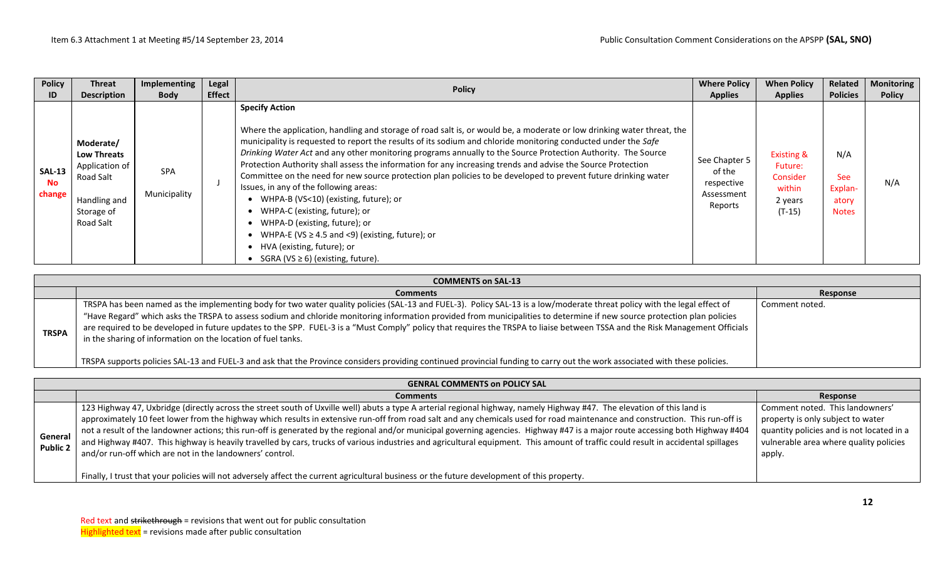| <b>Policy</b>                        | <b>Threat</b>                                                                                             | <b>Implementing</b>        | Legal         | <b>Policy</b>                                                                                                                                                                                                                                                                                                                                                                                                                                                                                                                                                                                                                                                                                                                                                                                                                                                                                            | <b>Where Policy</b>                                            | <b>When Policy</b>                                                            | Related                                               | <b>Monitoring</b> |
|--------------------------------------|-----------------------------------------------------------------------------------------------------------|----------------------------|---------------|----------------------------------------------------------------------------------------------------------------------------------------------------------------------------------------------------------------------------------------------------------------------------------------------------------------------------------------------------------------------------------------------------------------------------------------------------------------------------------------------------------------------------------------------------------------------------------------------------------------------------------------------------------------------------------------------------------------------------------------------------------------------------------------------------------------------------------------------------------------------------------------------------------|----------------------------------------------------------------|-------------------------------------------------------------------------------|-------------------------------------------------------|-------------------|
| ID                                   | <b>Description</b>                                                                                        | <b>Body</b>                | <b>Effect</b> |                                                                                                                                                                                                                                                                                                                                                                                                                                                                                                                                                                                                                                                                                                                                                                                                                                                                                                          | <b>Applies</b>                                                 | <b>Applies</b>                                                                | <b>Policies</b>                                       | <b>Policy</b>     |
| <b>SAL-13</b><br><b>No</b><br>change | Moderate/<br><b>Low Threats</b><br>Application of<br>Road Salt<br>Handling and<br>Storage of<br>Road Salt | <b>SPA</b><br>Municipality |               | <b>Specify Action</b><br>Where the application, handling and storage of road salt is, or would be, a moderate or low drinking water threat, the<br>municipality is requested to report the results of its sodium and chloride monitoring conducted under the Safe<br>Drinking Water Act and any other monitoring programs annually to the Source Protection Authority. The Source<br>Protection Authority shall assess the information for any increasing trends and advise the Source Protection<br>Committee on the need for new source protection plan policies to be developed to prevent future drinking water<br>Issues, in any of the following areas:<br>WHPA-B (VS<10) (existing, future); or<br>WHPA-C (existing, future); or<br>WHPA-D (existing, future); or<br>WHPA-E (VS $\geq$ 4.5 and <9) (existing, future); or<br>HVA (existing, future); or<br>SGRA (VS $\geq$ 6) (existing, future). | See Chapter 5<br>of the<br>respective<br>Assessment<br>Reports | <b>Existing &amp;</b><br>Future:<br>Consider<br>within<br>2 years<br>$(T-15)$ | N/A<br><b>See</b><br>Explan-<br>atory<br><b>Notes</b> | N/A               |

|              | <b>COMMENTS on SAL-13</b>                                                                                                                                                                                                                                                                                                                                                                                                                                                                                                                                                                                                                                                                                                                                                          |                |  |  |  |  |  |  |
|--------------|------------------------------------------------------------------------------------------------------------------------------------------------------------------------------------------------------------------------------------------------------------------------------------------------------------------------------------------------------------------------------------------------------------------------------------------------------------------------------------------------------------------------------------------------------------------------------------------------------------------------------------------------------------------------------------------------------------------------------------------------------------------------------------|----------------|--|--|--|--|--|--|
|              | <b>Comments</b>                                                                                                                                                                                                                                                                                                                                                                                                                                                                                                                                                                                                                                                                                                                                                                    | Response       |  |  |  |  |  |  |
| <b>TRSPA</b> | TRSPA has been named as the implementing body for two water quality policies (SAL-13 and FUEL-3). Policy SAL-13 is a low/moderate threat policy with the legal effect of<br>"Have Regard" which asks the TRSPA to assess sodium and chloride monitoring information provided from municipalities to determine if new source protection plan policies<br>are required to be developed in future updates to the SPP. FUEL-3 is a "Must Comply" policy that requires the TRSPA to liaise between TSSA and the Risk Management Officials<br>in the sharing of information on the location of fuel tanks.<br>TRSPA supports policies SAL-13 and FUEL-3 and ask that the Province considers providing continued provincial funding to carry out the work associated with these policies. | Comment noted. |  |  |  |  |  |  |

| <b>GENRAL COMMENTS on POLICY SAL</b>                                                                                                                                                                                                                                                                                                                                                                                                                                                                                                                                                                                                                                                                                                                                                       |                                                                                                                                                                       |  |  |  |  |  |  |  |  |
|--------------------------------------------------------------------------------------------------------------------------------------------------------------------------------------------------------------------------------------------------------------------------------------------------------------------------------------------------------------------------------------------------------------------------------------------------------------------------------------------------------------------------------------------------------------------------------------------------------------------------------------------------------------------------------------------------------------------------------------------------------------------------------------------|-----------------------------------------------------------------------------------------------------------------------------------------------------------------------|--|--|--|--|--|--|--|--|
| <b>Comments</b>                                                                                                                                                                                                                                                                                                                                                                                                                                                                                                                                                                                                                                                                                                                                                                            | Response                                                                                                                                                              |  |  |  |  |  |  |  |  |
| 123 Highway 47, Uxbridge (directly across the street south of Uxville well) abuts a type A arterial regional highway, namely Highway #47. The elevation of this land is<br>approximately 10 feet lower from the highway which results in extensive run-off from road salt and any chemicals used for road maintenance and construction. This run-off is<br>not a result of the landowner actions; this run-off is generated by the regional and/or municipal governing agencies. Highway #47 is a major route accessing both Highway #404<br>and Highway #407. This highway is heavily travelled by cars, trucks of various industries and agricultural equipment. This amount of traffic could result in accidental spillages<br>and/or run-off which are not in the landowners' control. | Comment noted. This landowners'<br>property is only subject to water<br>quantity policies and is not located in a<br>vulnerable area where quality policies<br>apply. |  |  |  |  |  |  |  |  |
|                                                                                                                                                                                                                                                                                                                                                                                                                                                                                                                                                                                                                                                                                                                                                                                            | Finally, I trust that your policies will not adversely affect the current agricultural business or the future development of this property.                           |  |  |  |  |  |  |  |  |